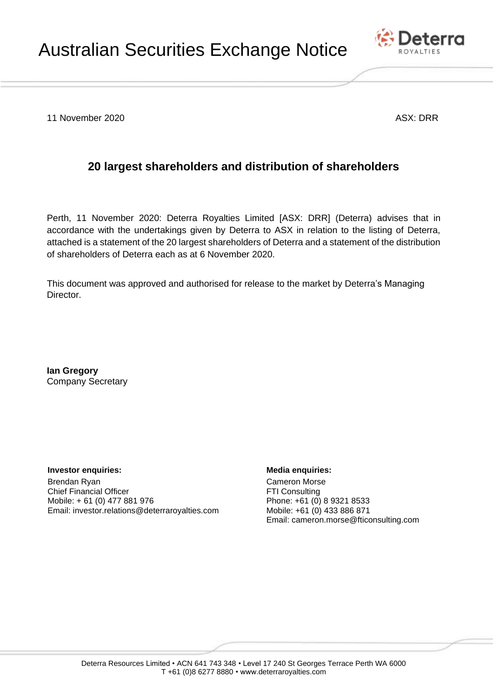

11 November 2020 **ASX: DRR** 

## **20 largest shareholders and distribution of shareholders**

Perth, 11 November 2020: Deterra Royalties Limited [ASX: DRR] (Deterra) advises that in accordance with the undertakings given by Deterra to ASX in relation to the listing of Deterra, attached is a statement of the 20 largest shareholders of Deterra and a statement of the distribution of shareholders of Deterra each as at 6 November 2020.

This document was approved and authorised for release to the market by Deterra's Managing Director.

**Ian Gregory** Company Secretary

**Investor enquiries: Media enquiries:** Brendan Ryan Chief Financial Officer Mobile: + 61 (0) 477 881 976 Email: [investor.relations@deterraroyalties.com](mailto:investor.relations@deterraroyalties.com)

Cameron Morse FTI Consulting Phone: +61 (0) 8 9321 8533 Mobile: +61 (0) 433 886 871 Email: cameron.morse@fticonsulting.com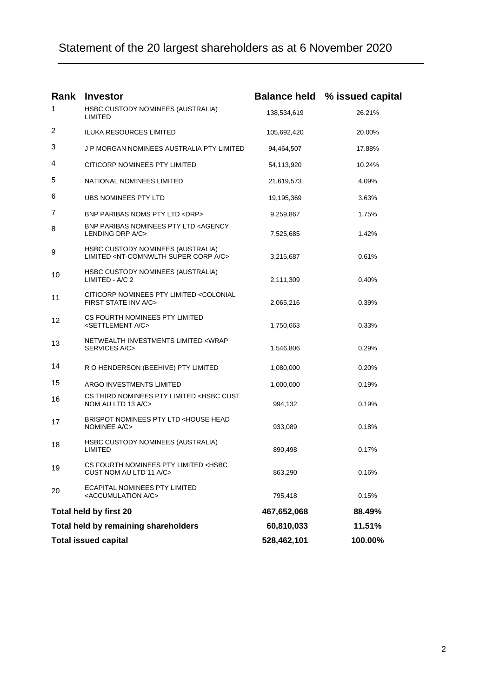## Statement of the 20 largest shareholders as at 6 November 2020

| Rank                                 | <b>Investor</b>                                                                                     |             | <b>Balance held % issued capital</b> |
|--------------------------------------|-----------------------------------------------------------------------------------------------------|-------------|--------------------------------------|
| 1                                    | HSBC CUSTODY NOMINEES (AUSTRALIA)<br>LIMITED                                                        | 138,534,619 | 26.21%                               |
| 2                                    | <b>ILUKA RESOURCES LIMITED</b>                                                                      | 105,692,420 | 20.00%                               |
| 3                                    | J P MORGAN NOMINEES AUSTRALIA PTY LIMITED                                                           | 94,464,507  | 17.88%                               |
| 4                                    | CITICORP NOMINEES PTY LIMITED                                                                       | 54,113,920  | 10.24%                               |
| 5                                    | NATIONAL NOMINEES LIMITED                                                                           | 21,619,573  | 4.09%                                |
| 6                                    | UBS NOMINEES PTY LTD                                                                                | 19,195,369  | 3.63%                                |
| 7                                    | BNP PARIBAS NOMS PTY LTD <drp></drp>                                                                | 9,259,867   | 1.75%                                |
| 8                                    | BNP PARIBAS NOMINEES PTY LTD <agency<br>LENDING DRP A/C&gt;</agency<br>                             | 7,525,685   | 1.42%                                |
| 9                                    | HSBC CUSTODY NOMINEES (AUSTRALIA)<br>LIMITED <nt-comnwlth a="" c="" corp="" super=""></nt-comnwlth> | 3,215,687   | 0.61%                                |
| 10                                   | HSBC CUSTODY NOMINEES (AUSTRALIA)<br>LIMITED - A/C 2                                                | 2,111,309   | 0.40%                                |
| 11                                   | CITICORP NOMINEES PTY LIMITED <colonial<br>FIRST STATE INV A/C&gt;</colonial<br>                    | 2,065,216   | 0.39%                                |
| 12                                   | CS FOURTH NOMINEES PTY LIMITED<br><settlement a="" c=""></settlement>                               | 1,750,663   | 0.33%                                |
| 13                                   | NETWEALTH INVESTMENTS LIMITED <wrap<br>SERVICES A/C&gt;</wrap<br>                                   | 1,546,806   | 0.29%                                |
| 14                                   | R O HENDERSON (BEEHIVE) PTY LIMITED                                                                 | 1,080,000   | 0.20%                                |
| 15                                   | ARGO INVESTMENTS LIMITED                                                                            | 1,000,000   | 0.19%                                |
| 16                                   | CS THIRD NOMINEES PTY LIMITED <hsbc cust<br="">NOM AU LTD 13 A/C&gt;</hsbc>                         | 994,132     | 0.19%                                |
| 17                                   | BRISPOT NOMINEES PTY LTD <house head<br="">NOMINEE A/C&gt;</house>                                  | 933,089     | 0.18%                                |
| 18                                   | HSBC CUSTODY NOMINEES (AUSTRALIA)<br><b>LIMITED</b>                                                 | 890,498     | 0.17%                                |
| 19                                   | CS FOURTH NOMINEES PTY LIMITED <hsbc<br>CUST NOM AU LTD 11 A/C&gt;</hsbc<br>                        | 863,290     | 0.16%                                |
| 20                                   | <b>ECAPITAL NOMINEES PTY LIMITED</b><br><accumulation a="" c=""></accumulation>                     | 795,418     | 0.15%                                |
| Total held by first 20               |                                                                                                     | 467,652,068 | 88.49%                               |
| Total held by remaining shareholders |                                                                                                     | 60,810,033  | 11.51%                               |
| <b>Total issued capital</b>          |                                                                                                     | 528,462,101 | 100.00%                              |